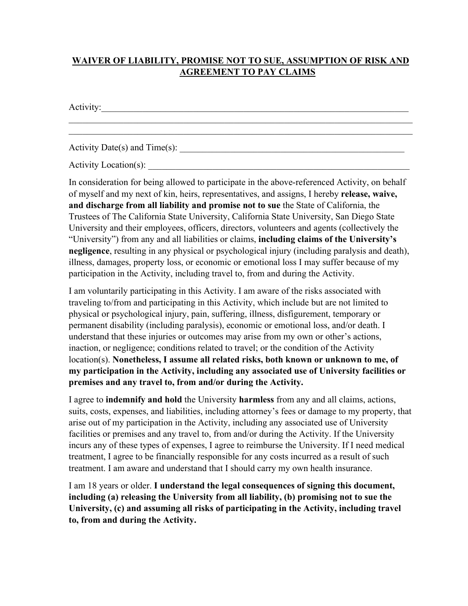## **WAIVER OF LIABILITY, PROMISE NOT TO SUE, ASSUMPTION OF RISK AND AGREEMENT TO PAY CLAIMS**

Activity:

Activity Date(s) and Time(s): \_\_\_\_\_\_\_\_\_\_\_\_\_\_\_\_\_\_\_\_\_\_\_\_\_\_\_\_\_\_\_\_\_\_\_\_\_\_\_\_\_\_\_\_\_\_\_\_\_

Activity Location(s):

In consideration for being allowed to participate in the above-referenced Activity, on behalf of myself and my next of kin, heirs, representatives, and assigns, I hereby **release, waive, and discharge from all liability and promise not to sue** the State of California, the Trustees of The California State University, California State University, San Diego State University and their employees, officers, directors, volunteers and agents (collectively the "University") from any and all liabilities or claims, **including claims of the University's negligence**, resulting in any physical or psychological injury (including paralysis and death), illness, damages, property loss, or economic or emotional loss I may suffer because of my participation in the Activity, including travel to, from and during the Activity.

I am voluntarily participating in this Activity. I am aware of the risks associated with traveling to/from and participating in this Activity, which include but are not limited to physical or psychological injury, pain, suffering, illness, disfigurement, temporary or permanent disability (including paralysis), economic or emotional loss, and/or death. I understand that these injuries or outcomes may arise from my own or other's actions, inaction, or negligence; conditions related to travel; or the condition of the Activity location(s). **Nonetheless, I assume all related risks, both known or unknown to me, of my participation in the Activity, including any associated use of University facilities or premises and any travel to, from and/or during the Activity.** 

I agree to **indemnify and hold** the University **harmless** from any and all claims, actions, suits, costs, expenses, and liabilities, including attorney's fees or damage to my property, that arise out of my participation in the Activity, including any associated use of University facilities or premises and any travel to, from and/or during the Activity. If the University incurs any of these types of expenses, I agree to reimburse the University. If I need medical treatment, I agree to be financially responsible for any costs incurred as a result of such treatment. I am aware and understand that I should carry my own health insurance.

I am 18 years or older. **I understand the legal consequences of signing this document, including (a) releasing the University from all liability, (b) promising not to sue the University, (c) and assuming all risks of participating in the Activity, including travel to, from and during the Activity.**